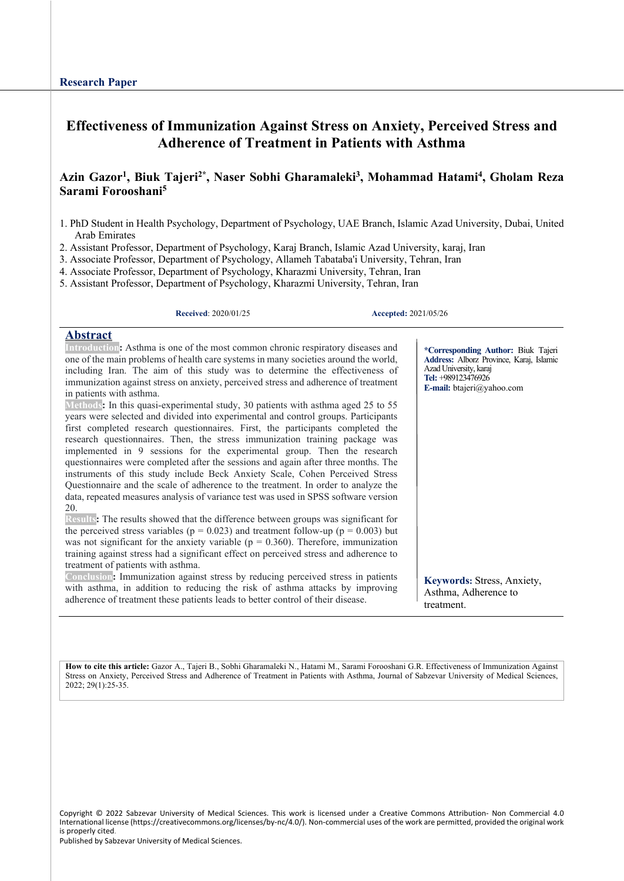# **Effectiveness of Immunization Against Stress on Anxiety, Perceived Stress and Adherence of Treatment in Patients with Asthma**

# Azin Gazor<sup>1</sup>, Biuk Tajeri<sup>2\*</sup>, Naser Sobhi Gharamaleki<sup>3</sup>, Mohammad Hatami<sup>4</sup>, Gholam Reza **Sarami Forooshani5**

- 1. PhD Student in Health Psychology, Department of Psychology, UAE Branch, Islamic Azad University, Dubai, United Arab Emirates
- 2. Assistant Professor, Department of Psychology, Karaj Branch, Islamic Azad University, karaj, Iran
- 3. Associate Professor, Department of Psychology, Allameh Tabataba'i University, Tehran, Iran
- 4. Associate Professor, Department of Psychology, Kharazmi University, Tehran, Iran
- 5. Assistant Professor, Department of Psychology, Kharazmi University, Tehran, Iran

**Received**: 2020/01/25 **Accepted:** 2021/05/26

#### **Abstract**

**Introduction:** Asthma is one of the most common chronic respiratory diseases and one of the main problems of health care systems in many societies around the world, including Iran. The aim of this study was to determine the effectiveness of immunization against stress on anxiety, perceived stress and adherence of treatment in patients with asthma.

**Methods:** In this quasi-experimental study, 30 patients with asthma aged 25 to 55 years were selected and divided into experimental and control groups. Participants first completed research questionnaires. First, the participants completed the research questionnaires. Then, the stress immunization training package was implemented in 9 sessions for the experimental group. Then the research questionnaires were completed after the sessions and again after three months. The instruments of this study include Beck Anxiety Scale, Cohen Perceived Stress Questionnaire and the scale of adherence to the treatment. In order to analyze the data, repeated measures analysis of variance test was used in SPSS software version 20.

**Results:** The results showed that the difference between groups was significant for the perceived stress variables ( $p = 0.023$ ) and treatment follow-up ( $p = 0.003$ ) but was not significant for the anxiety variable ( $p = 0.360$ ). Therefore, immunization training against stress had a significant effect on perceived stress and adherence to treatment of patients with asthma.

**Conclusion:** Immunization against stress by reducing perceived stress in patients with asthma, in addition to reducing the risk of asthma attacks by improving adherence of treatment these patients leads to better control of their disease.

**\*Corresponding Author:** Biuk Tajeri **Address:** Alborz Province, Karaj, Islamic Azad University, karaj **Tel:** +989123476926 **E-mail:** btajeri@yahoo.com

**Keywords:** Stress, Anxiety, Asthma, Adherence to treatment.

**How to cite this article:** Gazor A., Tajeri B., Sobhi Gharamaleki N., Hatami M., Sarami Forooshani G.R. Effectiveness of Immunization Against Stress on Anxiety, Perceived Stress and Adherence of Treatment in Patients with Asthma, Journal of Sabzevar University of Medical Sciences, 2022; 29(1):25-35.

Copyright © 2022 Sabzevar University of Medical Sciences. This work is licensed under a Creative Commons Attribution- Non Commercial 4.0 International license (https://creativecommons.org/licenses/by-nc/4.0/). Non-commercial uses of the work are permitted, provided the original work is properly cited.

Published by Sabzevar University of Medical Sciences.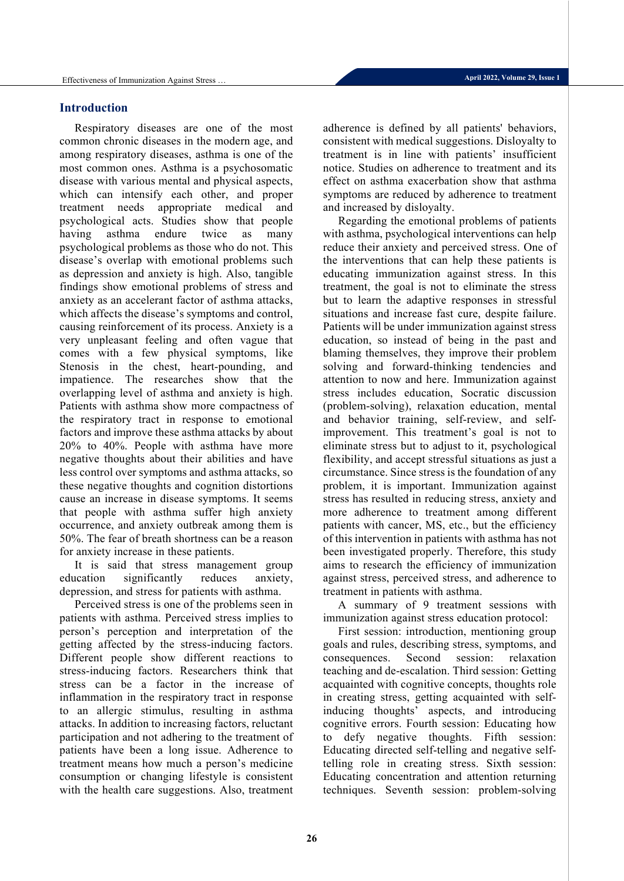## **Introduction**

Respiratory diseases are one of the most common chronic diseases in the modern age, and among respiratory diseases, asthma is one of the most common ones. Asthma is a psychosomatic disease with various mental and physical aspects, which can intensify each other, and proper treatment needs appropriate medical and psychological acts. Studies show that people having asthma endure twice as many psychological problems as those who do not. This disease's overlap with emotional problems such as depression and anxiety is high. Also, tangible findings show emotional problems of stress and anxiety as an accelerant factor of asthma attacks, which affects the disease's symptoms and control, causing reinforcement of its process. Anxiety is a very unpleasant feeling and often vague that comes with a few physical symptoms, like Stenosis in the chest, heart-pounding, and impatience. The researches show that the overlapping level of asthma and anxiety is high. Patients with asthma show more compactness of the respiratory tract in response to emotional factors and improve these asthma attacks by about 20% to 40%. People with asthma have more negative thoughts about their abilities and have less control over symptoms and asthma attacks, so these negative thoughts and cognition distortions cause an increase in disease symptoms. It seems that people with asthma suffer high anxiety occurrence, and anxiety outbreak among them is 50%. The fear of breath shortness can be a reason for anxiety increase in these patients.

It is said that stress management group education significantly reduces anxiety, depression, and stress for patients with asthma.

Perceived stress is one of the problems seen in patients with asthma. Perceived stress implies to person's perception and interpretation of the getting affected by the stress-inducing factors. Different people show different reactions to stress-inducing factors. Researchers think that stress can be a factor in the increase of inflammation in the respiratory tract in response to an allergic stimulus, resulting in asthma attacks. In addition to increasing factors, reluctant participation and not adhering to the treatment of patients have been a long issue. Adherence to treatment means how much a person's medicine consumption or changing lifestyle is consistent with the health care suggestions. Also, treatment adherence is defined by all patients' behaviors, consistent with medical suggestions. Disloyalty to treatment is in line with patients' insufficient notice. Studies on adherence to treatment and its effect on asthma exacerbation show that asthma symptoms are reduced by adherence to treatment and increased by disloyalty.

Regarding the emotional problems of patients with asthma, psychological interventions can help reduce their anxiety and perceived stress. One of the interventions that can help these patients is educating immunization against stress. In this treatment, the goal is not to eliminate the stress but to learn the adaptive responses in stressful situations and increase fast cure, despite failure. Patients will be under immunization against stress education, so instead of being in the past and blaming themselves, they improve their problem solving and forward-thinking tendencies and attention to now and here. Immunization against stress includes education, Socratic discussion (problem-solving), relaxation education, mental and behavior training, self-review, and selfimprovement. This treatment's goal is not to eliminate stress but to adjust to it, psychological flexibility, and accept stressful situations as just a circumstance. Since stress is the foundation of any problem, it is important. Immunization against stress has resulted in reducing stress, anxiety and more adherence to treatment among different patients with cancer, MS, etc., but the efficiency of this intervention in patients with asthma has not been investigated properly. Therefore, this study aims to research the efficiency of immunization against stress, perceived stress, and adherence to treatment in patients with asthma.

A summary of 9 treatment sessions with immunization against stress education protocol:

First session: introduction, mentioning group goals and rules, describing stress, symptoms, and consequences . Second session: relaxation teaching and de-escalation. Third session: Getting acquainted with cognitive concepts, thoughts role in creating stress, getting acquainted with selfinducing thoughts' aspects, and introducing cognitive errors. Fourth session: Educating how to defy negative thoughts. Fifth session: Educating directed self-telling and negative selftelling role in creating stress. Sixth session: Educating concentration and attention returning techniques. Seventh session: problem-solving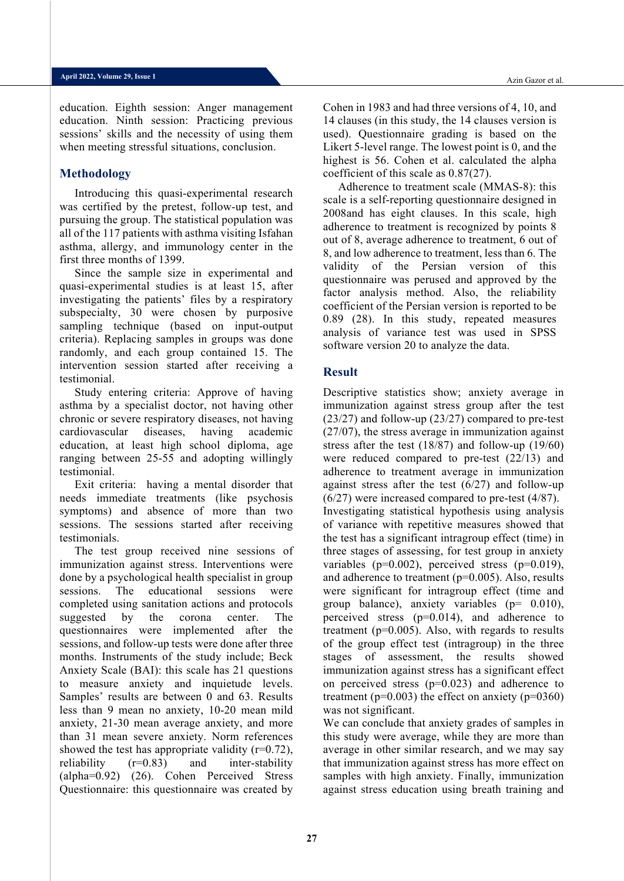education. Eighth session: Anger management education. Ninth session: Practicing previous sessions' skills and the necessity of using them when meeting stressful situations, conclusion.

# **Methodology**

Introducing this quasi-experimental research was certified by the pretest, follow-up test, and pursuing the group. The statistical population was all of the 117 patients with asthma visiting Isfahan asthma, allergy, and immunology center in the first three months of 1399.

Since the sample size in experimental and quasi-experimental studies is at least 15, after investigating the patients' files by a respiratory subspecialty, 30 were chosen by purposive sampling technique (based on input-output criteria). Replacing samples in groups was done randomly, and each group contained 15. The intervention session started after receiving a testimonial.

Study entering criteria: Approve of having asthma by a specialist doctor, not having other chronic or severe respiratory diseases, not having cardiovascular diseases, having academic education, at least high school diploma, age ranging between 25-55 and adopting willingly testimonial.

Exit criteria: having a mental disorder that needs immediate treatments (like psychosis symptoms) and absence of more than two sessions. The sessions started after receiving testimonials.

The test group received nine sessions of immunization against stress. Interventions were done by a psychological health specialist in group sessions. The educational sessions were completed using sanitation actions and protocols suggested by the corona center. The questionnaires were implemented after the sessions, and follow-up tests were done after three months. Instruments of the study include; Beck Anxiety Scale (BAI): this scale has 21 questions to measure anxiety and inquietude levels. Samples' results are between 0 and 63. Results less than 9 mean no anxiety, 10-20 mean mild anxiety, 21-30 mean average anxiety, and more than 31 mean severe anxiety. Norm references showed the test has appropriate validity  $(r=0.72)$ ,<br>reliability  $(r=0.83)$  and inter-stability and inter-stability (alpha=0.92) (26). Cohen Perceived Stress Questionnaire: this questionnaire was created by

Cohen in 1983 and had three versions of 4, 10, and 14 clauses (in this study, the 14 clauses version is used). Questionnaire grading is based on the Likert 5-level range. The lowest point is 0, and the highest is 56. Cohen et al. calculated the alpha coefficient of this scale as 0.87(27).

Adherence to treatment scale (MMAS-8): this scale is a self-reporting questionnaire designed in 2008and has eight clauses. In this scale, high adherence to treatment is recognized by points 8 out of 8, average adherence to treatment, 6 out of 8, and low adherence to treatment, less than 6. The validity of the Persian version of this questionnaire was perused and approved by the factor analysis method. Also, the reliability coefficient of the Persian version is reported to be 0.89 (28). In this study, repeated measures analysis of variance test was used in SPSS software version 20 to analyze the data.

### **Result**

Descriptive statistics show; anxiety average in immunization against stress group after the test (23/27) and follow-up (23/27) compared to pre-test (27/07), the stress average in immunization against stress after the test (18/87) and follow-up (19/60) were reduced compared to pre-test (22/13) and adherence to treatment average in immunization against stress after the test  $(6/27)$  and follow-up (6/27) were increased compared to pre-test (4/87). Investigating statistical hypothesis using analysis of variance with repetitive measures showed that the test has a significant intragroup effect (time) in three stages of assessing, for test group in anxiety variables ( $p=0.002$ ), perceived stress ( $p=0.019$ ), and adherence to treatment  $(p=0.005)$ . Also, results were significant for intragroup effect (time and group balance), anxiety variables (p= 0.010), perceived stress (p=0.014), and adherence to treatment ( $p=0.005$ ). Also, with regards to results of the group effect test (intragroup) in the three stages of assessment, the results showed immunization against stress has a significant effect on perceived stress  $(p=0.023)$  and adherence to treatment ( $p=0.003$ ) the effect on anxiety ( $p=0360$ ) was not significant.

We can conclude that anxiety grades of samples in this study were average, while they are more than average in other similar research, and we may say that immunization against stress has more effect on samples with high anxiety. Finally, immunization against stress education using breath training and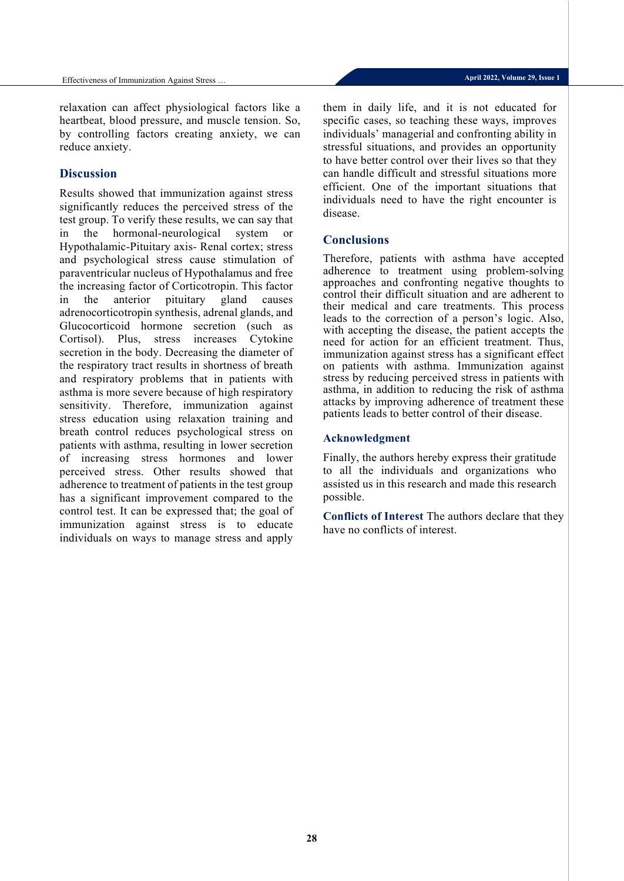relaxation can affect physiological factors like a heartbeat, blood pressure, and muscle tension. So, by controlling factors creating anxiety, we can reduce anxiety.

#### **Discussion**

Results showed that immunization against stress significantly reduces the perceived stress of the test group. To verify these results, we can say that in the hormonal-neurological system or Hypothalamic-Pituitary axis- Renal cortex; stress and psychological stress cause stimulation of paraventricular nucleus of Hypothalamus and free the increasing factor of Corticotropin. This factor in the anterior pituitary gland causes adrenocorticotropin synthesis, adrenal glands, and Glucocorticoid hormone secretion (such as Cortisol). Plus, stress increases Cytokine secretion in the body. Decreasing the diameter of the respiratory tract results in shortness of breath and respiratory problems that in patients with asthma is more severe because of high respiratory sensitivity. Therefore, immunization against stress education using relaxation training and breath control reduces psychological stress on patients with asthma, resulting in lower secretion of increasing stress hormones and lower perceived stress. Other results showed that adherence to treatment of patients in the test group has a significant improvement compared to the control test. It can be expressed that; the goal of immunization against stress is to educate individuals on ways to manage stress and apply

them in daily life, and it is not educated for specific cases, so teaching these ways, improves individuals' managerial and confronting ability in stressful situations, and provides an opportunity to have better control over their lives so that they can handle difficult and stressful situations more efficient. One of the important situations that individuals need to have the right encounter is disease.

#### **Conclusions**

Therefore, patients with asthma have accepted adherence to treatment using problem-solving approaches and confronting negative thoughts to control their difficult situation and are adherent to their medical and care treatments. This process leads to the correction of a person's logic. Also, with accepting the disease, the patient accepts the need for action for an efficient treatment. Thus, immunization against stress has a significant effect on patients with asthma. Immunization against stress by reducing perceived stress in patients with asthma, in addition to reducing the risk of asthma attacks by improving adherence of treatment these patients leads to better control of their disease.

#### **Acknowledgment**

Finally, the authors hereby express their gratitude to all the individuals and organizations who assisted us in this research and made this research possible.

**Conflicts of Interest** The authors declare that they have no conflicts of interest.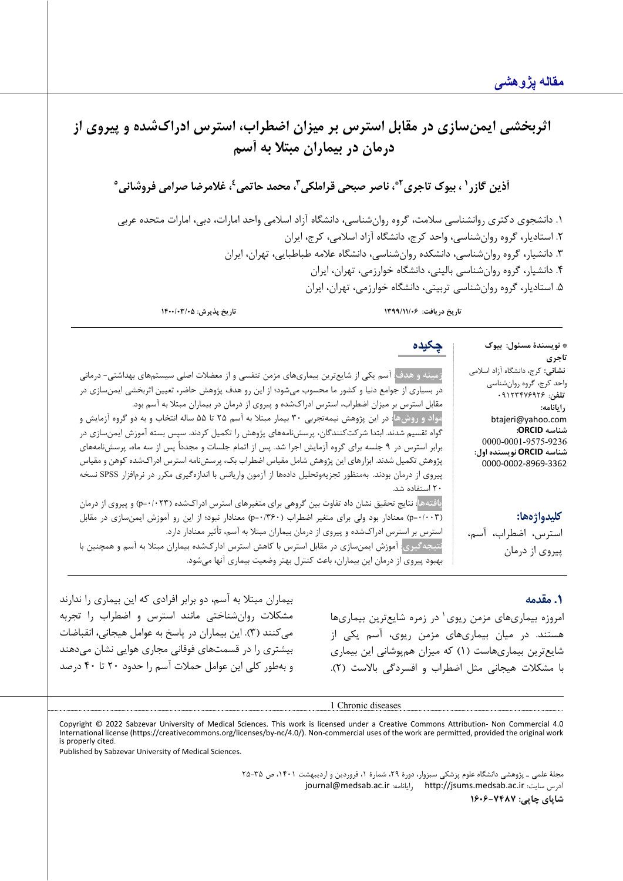| اثربخشی ایمنسازی در مقابل استرس بر میزان اضطراب، استرس ادراکشده و پیروی از<br>درمان در بیماران مبتلا به أسم                                                                                                                                                                                                                                                                                                                                                                                                                                                                                                                                                                                                                                                                                                                                                                                                                                                                                 |                                                                                                                                                                                                                                                         |
|---------------------------------------------------------------------------------------------------------------------------------------------------------------------------------------------------------------------------------------------------------------------------------------------------------------------------------------------------------------------------------------------------------------------------------------------------------------------------------------------------------------------------------------------------------------------------------------------------------------------------------------------------------------------------------------------------------------------------------------------------------------------------------------------------------------------------------------------------------------------------------------------------------------------------------------------------------------------------------------------|---------------------------------------------------------------------------------------------------------------------------------------------------------------------------------------------------------------------------------------------------------|
| أذين گازر <sup>١</sup> ، بيوک تاجرى <sup>٢</sup> ،ّ، ناصر صبحى قراملکى <sup>۳</sup> ، محمد حاتمى <sup>٤</sup> ، غلامرضا صرامى فروشانى°                                                                                                                                                                                                                                                                                                                                                                                                                                                                                                                                                                                                                                                                                                                                                                                                                                                      |                                                                                                                                                                                                                                                         |
| ۱. دانشجوی دکتری روانشناسی سلامت، گروه روانشناسی، دانشگاه آزاد اسلامی واحد امارات، دبی، امارات متحده عربی<br>۲. استادیار، گروه روانشناسی، واحد کرج، دانشگاه آزاد اسلامی، کرج، ایران<br>۳. دانشیار، گروه روانشناسی، دانشکده روانشناسی، دانشگاه علامه طباطبایی، تهران، ایران<br>۴. دانشیار، گروه روانشناسی بالینی، دانشگاه خوارزمی، تهران، ایران<br>۵. استادیار، گروه روانشناسی تربیتی، دانشگاه خوارزمی، تهران، ایران<br>تاريخ دريافت: ١٣٩٩/١١/٠۶                                                                                                                                                                                                                                                                                                                                                                                                                                                                                                                                             |                                                                                                                                                                                                                                                         |
| تاريخ پذيرش: ١۴٠٠/٠٣/٠٥                                                                                                                                                                                                                                                                                                                                                                                                                                                                                                                                                                                                                                                                                                                                                                                                                                                                                                                                                                     |                                                                                                                                                                                                                                                         |
| چکیده<br>زمینه و هدف: آسم یکی از شایعترین بیماریهای مزمن تنفسی و از معضلات اصلی سیستمهای بهداشتی- درمانی<br>در بسیاری از جوامع دنیا و کشور ما محسوب میشود؛ از این رو هدف پژوهش حاضر، تعیین اثربخشی ایمنسازی در<br>مقابل استرس بر میزان اضطراب، استرس ادراکشده و پیروی از درمان در بیماران مبتلا به آسم بود.<br>مواد و روشها <mark>: در این پژوهش نیمهتجربی ۳۰ بیمار مبتلا به آسم ۲۵ تا ۵۵ ساله انتخاب و به دو گروه آزمایش و</mark><br>گواه تقسیم شدند. ابتدا شرکتکنندگان، پرسشiامههای پژوهش را تکمیل کردند. سپس بسته آموزش ایمنسازی در<br>برابر استرس در ۹ جلسه برای گروه آزمایش اجرا شد. پس از اتمام جلسات و مجدداً پس از سه ماه، پرسشنامههای<br>پژوهش تکمیل شدند. ابزارهای این پژوهش شامل مقیاس اضطراب بک، پرسشنامه استرس ادراکشده کوهن و مقیاس<br>پیروی از درمان بودند. بهمنظور تجزیهوتحلیل دادهها از آزمون واریانس با اندازهگیری مکرر در نرمافزار SPSS نسخه<br>۲۰ استفاده شد.<br>یافتههاً: نتایج تحقیق نشان داد تفاوت بین گروهی برای متغیرهای استرس ادراکشده (p=۰/۰۲۳) و پیروی از درمان | * نويسندهٔ مسئول: بيوک<br>تاجرى<br><b>نشانی</b> : کرج، دانشگاه آزاد اسلامی<br>واحد کرج، گروه روانشناسی<br>تلفن: ۰۹۱۲۳۴۷۶۹۲۶<br>رايانامه:<br>btajeri@yahoo.com<br>شناسه ORCID:<br>0000-0001-9575-9236<br>شناسه ORCID نویسنده اول:<br>0000-0002-8969-3362 |
| (p=۰/۰۰۳) معنادار بود ولی برای متغیر اضطراب (۳۶۰+-p) معنادار نبود؛ از این رو آموزش ایمنسازی در مقابل                                                                                                                                                                                                                                                                                                                                                                                                                                                                                                                                                                                                                                                                                                                                                                                                                                                                                        | كليدواژهها:                                                                                                                                                                                                                                             |

استرس بر استرس ادراك شده و پیروي از درمان بیماران مبتلا به آسم، تأثیر معنادار دارد. **نتیجهگیري**: آموزش ایمن سازي در مقابل استرس با کاهش استرس ادارك شده بیماران مبتلا به آسم و همچنین با بهبود پیروي از درمان این بیماران، باعث کنترل بهتر وضعیت بیماري آنها می شود.

# **.1 مقدمه**

پیروي از درمان

استرس، اضطراب، آسم،

امروزه بیماری های مزمن ریوی در زمره شایع ترین بیماری ها هستند. در میان بیماري هاي مزمن ریوي، آسم یکی از شایعترین بیماري هاست (1) که میزان هم پوشانی این بیماري با مشکلات هیجانی مثل اضطراب و افسردگی بالاست ( 2).

بیماران مبتلا به آسم، دو برابر افرادي که این بیماري را ندارند مشکلات روانشناختی مانند استرس و اضطراب را تجربه می کنند (3). این بیماران در پاسخ به عوامل هیجانی، انقباضات بیشتري را در قسمتهاي فوقانی مجاري هوایی نشان می دهند و بهطور کلی این عوامل حملات آسم را حدود 20 تا 40 درصد

1 Chronic diseases

<span id="page-4-0"></span>Copyright © 2022 Sabzevar University of Medical Sciences. This work is licensed under a Creative Commons Attribution- Non Commercial 4.0 International license (https://creativecommons.org/licenses/by-nc/4.0/). Non-commercial uses of the work are permitted, provided the original work is properly cited.

Published by Sabzevar University of Medical Sciences.

مجلۀ علمی ـ پژوهشی دانشگاه علوم پزشکی سبزوار، دورة ،29 شمارة ،1 فروردین و اردیبهشت ،1401 ص 25-35 [journal@medsab.ac.ir](mailto:journal@medsab.ac.ir) :رایانامه [http://jsums.medsab.ac.ir](http://jsums.medsab.ac.ir/) :سایت آدرس **شاپاي چاپی: 1606-7487**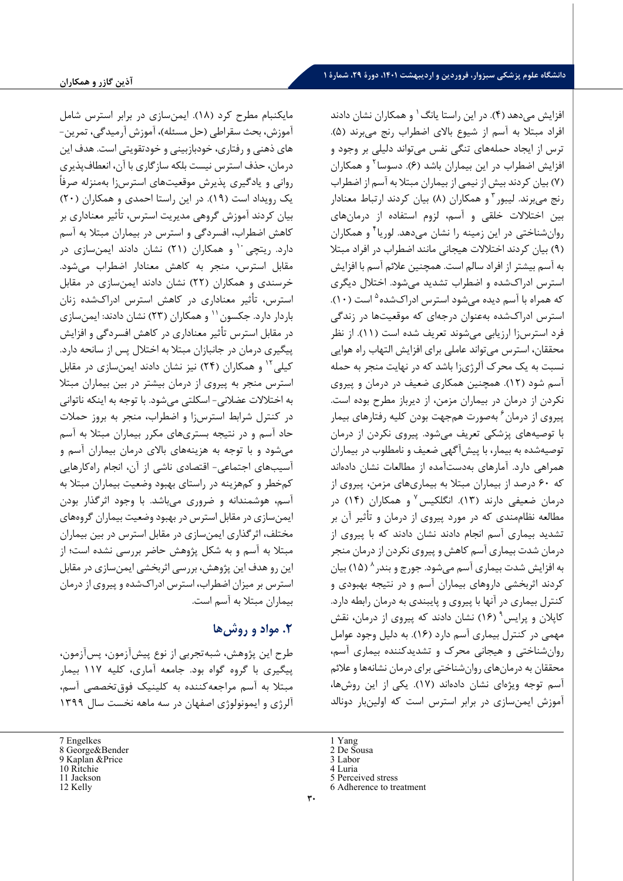افزایش میدهد (۴). در این راستا یانگ <sup>۱</sup> و همکاران نشان دادند افراد مبتلا به آسم از شیوع بالاي اضطراب رنج میبرند (5).

مایکنبام مطرح کرد (18). ایمنسازي در برابر استرس شامل آموزش، بحث سقراطی (حل مسئله)، آموزش آرمیدگی، تمرین- هاي ذهنی و رفتاري، خودبازبینی و خودتقویتی است. هدف این درمان، حذف استرس نیست بلکه سازگاري با آن، انعطافپذیري روانی و یادگیري پذیرش موقعیتهاي استرسزا بهمنزله صرفاً یک رویداد است (19). در این راستا احمدي و همکاران (20) بیان کردند آموزش گروهی مدیریت استرس، تأثیر معناداري بر کاهش اضطراب، افسردگی و استرس در بیماران مبتلا به آسم دارد. ریتچی <sup>۱۰</sup> و همکاران (۲۱) نشان دادند ایمنسازی در مقابل استرس، منجر به کاهش معنادار اضطراب میشود. خرسندي و همکاران (22) نشان دادند ایمنسازي در مقابل استرس، تأثیر معناداري در کاهش استرس ادراكشده زنان باردار دارد. جکسون `` و همکاران (۲۳) نشان دادند: ایمن سازی در مقابل استرس تأثیر معناداري در کاهش افسردگی و افزایش پیگیري درمان در جانبازان مبتلا به اختلال پس از سانحه دارد. کیلی <sup>۱۲</sup> و همکاران (۲۴) نیز نشان دادند ایمن سازی در مقابل استرس منجر به پیروي از درمان بیشتر در بین بیماران مبتلا به اختلالات عضلانی- اسکلتی میشود. با توجه به اینکه ناتوانی در کنترل شرابط استرسزا و اضطراب، منجر به بروز حملات حاد آسم و در نتیجه بستري هاي مکرر بیماران مبتلا به آسم می شود و با توجه به هزینههاي بالاي درمان بیماران آسم و آسیب هاي اجتماعی- اقتصادي ناشی از آن، انجام راهکارهایی کم خطر و کمهزینه در راستاي بهبود وضعیت بیماران مبتلا به آسم، هوشمندانه و ضروري میباشد. با وجود اثرگذار بودن ایمنسازي در مقابل استرس در بهبود وضعیت بیماران گروههاي مختلف، اثرگذاري ایمنسازي در مقابل استرس در بین بیماران مبتلا به آسم و به شکل پژوهش حاضر بررسی نشده است؛ از این رو هدف این پژوهش، بررسی اثربخشی ایمنسازي در مقابل استرس بر میزان اضطراب، استرس ادراكشده و پیروي از درمان بیماران مبتلا به آسم است.

# **.2 مواد و روش ها**

طرح این پژوهش ، شبه تجربی از نوع پیش آزمون، پس آزمون، پیگیري با گروه گواه بود. جامعه آماري، کلیه 117 بیمار مبتلا به آسم مراجعه کننده به کلینیک فوق تخصصی آسم، آلرژي و ایمونولوژي اصفهان در سه ماهه نخست سال 1399

ترس از ایجاد حملههاي تنگی نفس می تواند دلیلی بر وجود و افزایش اضطراب در این بیماران باشد (۶). دسوسا<sup>۲</sup> و همکاران (7) بیان کردند بیش از نیمی از بیماران مبتلا به آسم از اضطراب رنج میبرند. لیبور <sup>۳</sup> و همکاران (۸) بیان کردند ارتباط معنادار بین اختلالات خلقی و آسم، لزوم استفاده از درمانهاي روان شناختی در این زمینه را نشان میدهد. لوریا<sup>۴</sup> و همکاران (9) بیان کردند اختلالات هیجانی مانند اضطراب در افراد مبتلا به آسم بیشتر از افراد سالم است. همچنین علائم آسم با افزایش استرس ادراكشده و اضطراب تشدید می شود. اختلال دیگري که همراه با آسم دیده میشود استرس ادراکشده <sup>۵</sup> است (۱۰). استرس ادراكشده به عنوان درجهاي که موقعیت ها در زندگی فرد استرسزا ارزیابی می شوند تعریف شده است (11). از نظر محققان، استرس می تواند عاملی براي افزایش التهاب راه هوایی نسبت به یک محرك آلرژي زا باشد که در نهایت منجر به حمله آسم شود (12). همچنین همکاري ضعیف در درمان و پیروي نکردن از درمان در بیماران مزمن ، از دیرباز مطرح بوده است. پیروی از درمان<sup>۶</sup> بهصورت همجهت بودن کلیه رفتارهای بیمار با توصیه هاي پزشکی تعریف می شود. پیروي نکردن از درمان توصیه شده به بیمار، با پیش آگهی ضعیف و نامطلوب در بیماران همراهی دارد. آمارهاي بهدستآمده از مطالعات نشان دادهاند که 60 درصد از بیماران مبتلا به بیماري هاي مزمن، پیروي از درمان ضعیفی دارند (۱۳). انگلکیس<sup>۷</sup> و همکاران (۱۴) در مطالعه نظام مندي که در مورد پیروي از درمان و تأثیر آن بر تشدید بیماري آسم انجام دادند نشان دادند که با پیروي از درمان شدت بیماري آسم کاهش و پیروي نکردن از درمان منجر به افزایش شدت بیماری آسم می شود. جورج و بندر ^ (۱۵) بیان کردند اثربخشی داروهاي بیماران آسم و در نتیجه بهبودي و کنترل بیماري در آنها با پیروي و پایبندي به درمان رابطه دارد . کاپلان و پرایس (۱۶) نشان دادند که پیروی از درمان، نقش مهمی در کنترل بیماري آسم دارد (16). به دلیل وجود عوامل روانشناختی و هیجانی محرك و تشدیدکننده بیماري آسم، محققان به درمان هاي روانشناختی براي درمان نشانه ها و علائم آسم توجه ویژهاي نشان دادهاند (17). یکی از این روشها، آموزش ایمنسازي در برابر استرس است که اولین بار دونالد

- 5 Perceived stress
- 6 Adherence to treatment

<span id="page-5-0"></span><sup>7</sup> Engelkes

<span id="page-5-1"></span><sup>8</sup> George&Bender

<span id="page-5-3"></span><span id="page-5-2"></span><sup>9</sup> Kaplan &Price 10 Ritchie

<sup>11</sup> Jackson

<span id="page-5-5"></span><span id="page-5-4"></span><sup>12</sup> Kelly

<sup>1</sup> Yang 2 De Sousa

<sup>3</sup> Labor

<sup>4</sup> Luria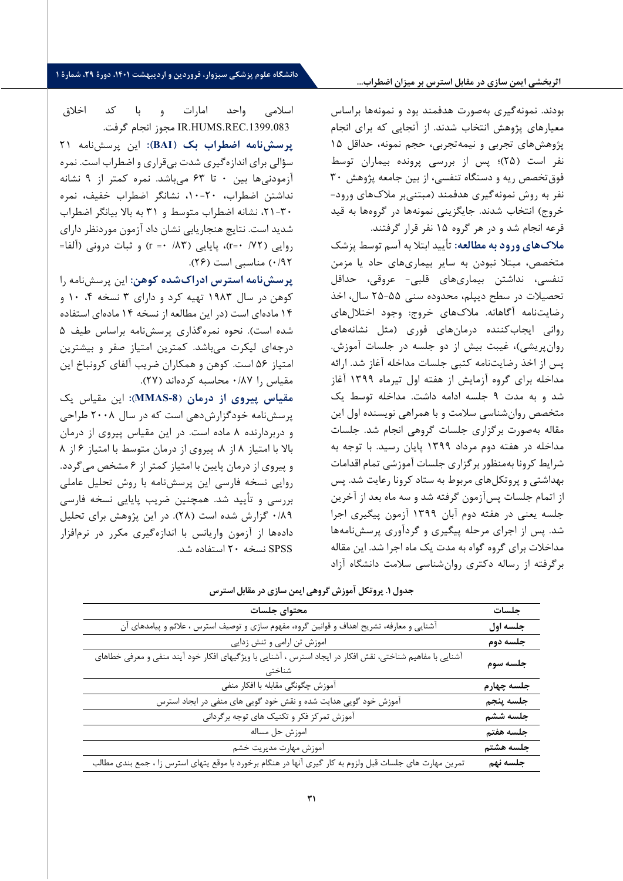#### **اثربخشی ایمن سازي در مقابل استرس بر میزان اضطراب...**

بودند. نمونه گیري به صورت هدفمند بود و نمونه ها بر اساس معیارهاي پژوهش انتخاب شدند. از آنجایی که براي انجام پژوهش های تجربی و نیمه تجربی، حجم نمونه، حداقل ۱۵ نفر است ( 25) ؛ پس از بررسی پرونده بیماران توسط فوق تخصص ریه و دستگاه تنفسی، از بین جامعه پژوهش 30 نفر به روش نمونه گیري هدفمند (مبتنی بر ملاك هاي ورود - خروج) انتخاب شدند. جایگزینی نمونهها در گروهها به قید قرعه انجام شد و در هر گروه 15 نفر قرار گرفتند .

**ملاك ها ي ورود به مطالعه:** تأ یید ابت لا به آسم توسط پزشک متخصص، مبتلا نبودن به سایر بیماری های حاد یا مزمن تنفسی، نداشتن بیماري هاي قلبی - عروقی، حداقل تحصیلات در سطح دیپلم، محدوده سنی -55 25 سال، اخذ رضایتنامه آگاهانه. ملاکهای خروج: وجود اختلالهای روانی ایجاب کننده درمان هاي فوري ( مثل نشانه هاي روان پریشی)، غیبت بیش از دو جلسه در جلسات آموزش. پس از اخذ رضایت نامه کتبی جلسات مداخله آغاز شد. ارائه مداخله براي گروه آزمایش از هفته اول تیرماه 1399 آغاز شد و به مدت 9 جلس ه ادامه داشت. مداخله توسط یک متخصص روان شناسی سلامت و با همراهی نویسنده اول این مقاله به صورت برگزاري جلسات گروهی انجام شد. جلسات مداخله در هفته دوم مرداد 1399 پایان رسید. با توجه به شرایط کرونا به منظور بر گزاری جلسات آموزشی تمام اقدامات بهداشتی و پروتکل هاي مربوط به ستاد کرونا رعایت شد. پس از اتمام جلسات پس آزمون گرفته شد و سه ماه بعد از آخرین جلسه یعنی در هفته دوم آبان 1399 آزمون پیگیري اجرا شد. پس از اجراي مرحله پیگیري و گردآوري پرسش نامه ها مداخلات براي گروه گواه به مدت یک ماه اجرا شد. این مقاله برگرفته از رساله دکتري روان شناسی سلامت دانشگاه آزاد

اسلامی واحد امارات و با کد اخلاق .1399.083REC.HUMS.IR مجوز انجام گرفت .

**پرسش نامه اضطراب بک ( BAI(:** این پرسش نامه 21 سؤ الی براي اندازه گیري شدت بی قراري و اضطراب است . نمره آزمودنی ها بین 0 تا 63 می باشد. نمره کمتر از 9 نشانه نداشتن اضطراب، -20 ،10 نشانگر اضطراب خفیف، نمره -30 ،21 نشانه اضطراب متوسط و 31 به بالا بیانگر اضطراب شدید است . نتایج هنجاریابی نشان داد آزمون مورد نظر داراي روایی (  $(r = \cdot /25)$ ، پایایی ( /٨٣ -= r) و ثبات درونی (آلفا= ۰/۹۲) مناسبی است (۲۶).

**پرسش نامه استرس ادراك شده کوهن :** این پرسش نامه را کوهن در سال ۱۹۸۳ تهیه کرد و دارای ۳ نسخه ۴، ۱۰ و 14 ماده اي است (در این مطالعه از نسخه 14 ماده اي استفاده شده است). نحوه نمره گذاري پرسش نامه براساس طیف 5 درجه اي لیکرت می باشد. کمترین امتیاز صفر و بیشترین امتیاز 56 است. کوهن و همکاران ضریب آلفاي کرونباخ این مقیاس را ۰/٨٧ محاسبه کردهاند (٢٧).

**مقیاس پیروي از درمان** ( **-8MMAS** (**:** اینمقیاس یک پرسش نامه خود گزارش دهی است که در سال 2008 طراح ی و دربردارنده ۸ ماده است. در این مقیاس پیروی از درمان بالا با امتیاز ۸ از ۸، پیروی از درمان متوسط با امتیاز ۶ از ۸ و پیروی از درمان پایین با امتیاز کمتر از ۶ مشخص می گردد. روایی نسخه فارسی این پرسش نامه با روش تحلیل عاملی بررسی و تأیید شد. همچنین ضریب پایایی نسخه فارسی /89 0 گزارش شده است ( 28). در این پژوهش براي تحلیل داده ها از آزمون واریانس با اندازه گیري مکرر در نرم افزار SPSS نسخه 20 استفاده شد .

|--|

| محتواي جلسات                                                                                              | جلسات      |
|-----------------------------------------------------------------------------------------------------------|------------|
| آشنایی و معارفه، تشریح اهداف و قوانین گروه، مفهوم سازی و توصیف استرس ، علائم و پیامدهای آن                | جلسه اول   |
| اموزش تن ارامی و تنش زدایی                                                                                | جلسه دوم   |
| آشنایی با مفاهیم شناختی، نقش افکار در ایجاد استرس ، آشنایی با ویژگیهای افکار خود آیند منفی و معرفی خطاهای | جلسه سوم   |
| آموزش چگونگی مقابله با افکار منفی                                                                         | جلسه چهارم |
| آموزش خود گویی هدایت شده و نقش خود گویی های منفی در ایجاد استرس                                           | جلسه پنجم  |
| آموزش تمرکز فکر و تکنیک های توجه برگردانی                                                                 | جلسه ششم   |
| اموزش حل مساله                                                                                            | جلسه هفتم  |
| آموزش مهارت مديريت خشم                                                                                    | جلسه هشتم  |
| تمرین مهارت های جلسات قبل ولزوم به کار گیری آنها در هنگام برخورد با موقع یتهای استرس زا ، جمع بندی مطالب  | جلسه نهم   |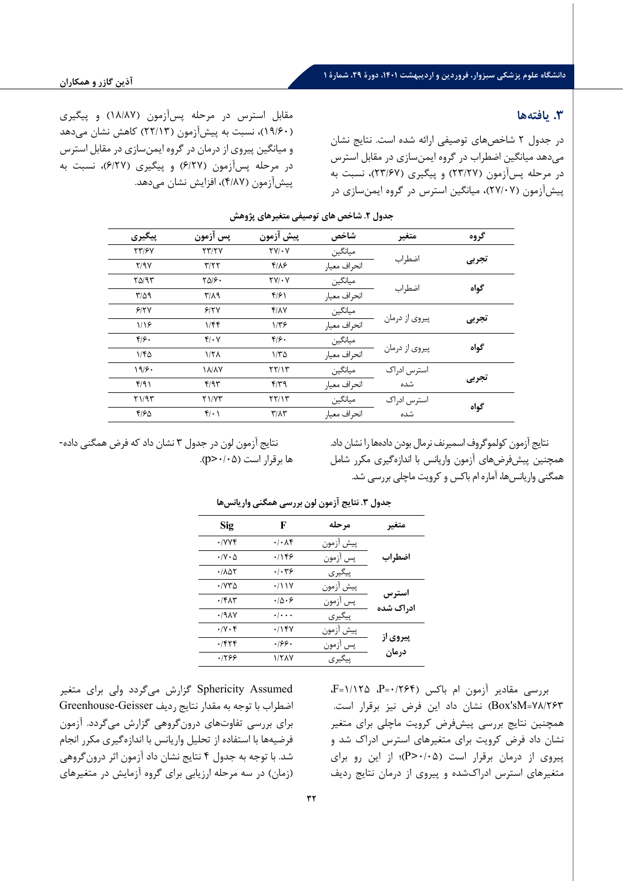## **.3 یافته ها**

در جدول 2 شاخصهاي توصیفی ارائه شده است. نتایج نشان می دهد میانگین اضطراب در گروه ایمنسازي در مقابل استرس در مرحله پسآزمون (23/27) و پیگیري (23/67)، نسبت به پیش آزمون (27/07)، میانگین استرس در گروه ایمنسازي در

مقابل استرس در مرحله پسآزمون (18/87) و پیگیري (19/60)، نسبت به پیش آزمون ( 22/13) کاهش نشان میدهد و میانگین پیروي از درمان در گروه ایمنسازي در مقابل استرس در مرحله پسآزمون (6/27) و پیگیري (6/27)، نسبت به پیش آزمون (4/87)، افزایش نشان می دهد.

| پیگیری             | پس آزمون                | پیش آزمون                  | شاخص         | متغير          | گروه  |  |
|--------------------|-------------------------|----------------------------|--------------|----------------|-------|--|
| <b>TT/FY</b>       | YY/Y                    | $\Upsilon V/\cdot V$       | ميانگين      |                | تجربى |  |
| Y/9Y               | T/T                     | $f/\lambda$ ۶              | انحراف معيار | اضطراب         |       |  |
| $Y\Delta$ /9 $Y$   | $Y\Delta/\mathcal{F}$ . | $\tau v/\cdot v$           | ميانگين      |                | گواه  |  |
| $T/\Delta$ 9       | $\mathbf{r}/\mathbf{A}$ | f/f                        | انحراف معيار | اضطراب         |       |  |
| 9/7V               | 9/7V                    | Y/AY                       | ميانگين      |                |       |  |
| 1/19               | 1/FF                    | $1/\tau$ ۶                 | انحراف معيار | پیروی از درمان | تجربى |  |
| $f/\mathfrak{S}$ . | $f/\cdot V$             | $f/\mathcal{F}$ .          | ميانگين      |                |       |  |
| $1/f_0$            | $1/7\lambda$            | $1/\tau \Delta$            | انحراف معيار | پیروی از درمان | گواه  |  |
| 19.6               | <b><i>I</i></b> A/AY    | $\tau\tau/\tau$            | ميانگين      | استرس ادراک    |       |  |
| f/91               | f/95                    | F/T9                       | انحراف معيار | شده            | تجربى |  |
| Y1/97              | Y1/YY                   | YY/Y                       | ميانگين      | استرس ادراک    |       |  |
| F/FQ               | $f(\cdot)$              | $\Upsilon/\Lambda\Upsilon$ | انحراف معيار | شده            | گواه  |  |

**جدول .2 شاخص هاي توصیفی متغیرهاي پژوهش** 

نتايج آزمون كولموگروف اسميرنف نرمال بودن دادهها را نشان داد. همچنین پیشفرضهای آزمون واریانس با اندازهگیری مکرر شامل همگنی واریانس ها، آماره ام باکس و کرویت ماچلی بررسی شد.

نتایج آزمون لون در جدول ۳ نشان داد که فرض همگنی داده- $(p > \cdot / \cdot \Delta)$ ها برقرار است (p>

| جناوں ۱۰ تنایج ارتنوں نوں بررسی مستقی واریابس |                         |           |           |  |  |
|-----------------------------------------------|-------------------------|-----------|-----------|--|--|
| <b>Sig</b>                                    | F                       | مرحله     | متغبر     |  |  |
| ۰/۷۷۴                                         | ۰/۰۸۴                   | پيش أزمون |           |  |  |
| $\cdot$ / $\vee$ $\cdot$ $\Delta$             | ۱۱۴۶                    | پس أزمون  | اضطراب    |  |  |
| $\cdot$ / $\wedge \wedge \wedge$              | ۰/۰۳۶                   | پیگیری    |           |  |  |
| ۱۷۳۵                                          | ۰/۱۱۷                   | پيش أزمون | استرس     |  |  |
| $\cdot$ $/$ ۴۸۳                               | ۰۱۵۰۶                   | پس أزمون  | ادراک شده |  |  |
| .19AY                                         | $\cdot/\cdot\cdot\cdot$ | پیگیری    |           |  |  |
| $\cdot/\gamma \cdot f$                        | .1                      | پيش أزمون |           |  |  |
| ۰/۴۲۴                                         | ۰۱۶۶۰                   | پس أزمون  | پیروی از  |  |  |
| .1799                                         | 1/۲۸۷                   | پیگیری    | درمان     |  |  |

**جدول .3 نتایج آزمون لون بررسی همگنی واریانس ها** 

Assumed Sphericity گزارش می گردد ولی براي متغیر اضطراب با توجه به مقدار نتایج ردیف Geisser-Greenhouse براي بررسی تفاوتهاي درونگروهی گزارش میگردد. آزمون فرضیه ها با استفاده از تحلیل واریانس با اندازه گیري مکرر انجام شد. با توجه به جدول 4 نتایج نشان داد آزمون اثر درونگروهی (زمان) در سه مرحله ارزیابی براي گروه آزمایش در متغیرهاي بررسی مقادیر آزمون ام باکس (0/264=P، 1/125=F، 78/263=sM'Box (نشان داد این فرض نیز برقرار است. همچنین نتایج بررسی پیش فرض کرویت ماچلی براي متغیر نشان داد فرض کرویت براي متغیرهاي استرس ادراك شد و پیروي از درمان برقرار است (0/05<P(؛ از این رو براي متغیرهاي استرس ادراكشده و پیروي از درمان نتایج ردیف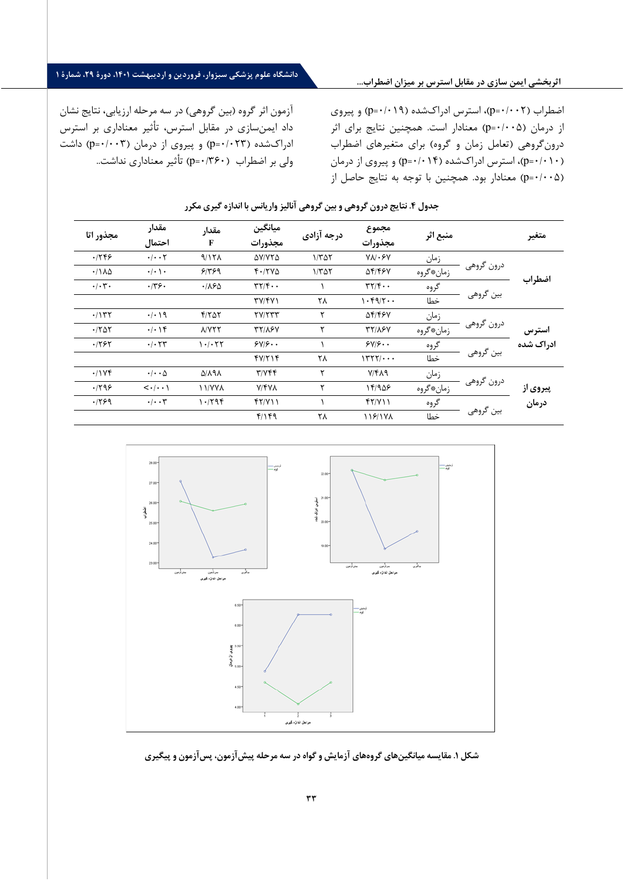### **اثربخشی ایمن سازي در مقابل استرس بر میزان اضطراب...**

# **دانشگاه علوم پزشکی سبزوار، فروردین و اردیبهشت ،1401 دورة ،29 شمارة 1**

آزمون اثر گروه (بین گروهی) در سه مرحله ارزیابی، نتایج نشان داد ایمنسازي در مقابل استرس، تأثیر معناداري بر استرس ادراكشده (p=٠/٠٢٣) و پیروي از درمان (p=٠/٠٠٣) داشت ولی بر اضطراب (0/360=p (تأثیر معناداري نداشت..

اضطراب (p=٠/٠٠٢)، استرس ادراكشده (p=٠/٠١٩) و پیروي از درمان (/005 0=p (معنادار است. همچنین نتایج براي اثر درونگروهی (تعامل زمان و گروه) براي متغیرهاي اضطراب (0/010=p(، استرس ادراكشده (0/014=p (و پیروي از درمان (0/005=p (معنادار بود. همچنین با توجه به نتایج حاصل از

| مجذور اتا                                           | مقدار<br>احتمال                       | مقدار<br>F         | ميانگين<br>مجذورات                                  | درجه آزادی               | مجموع<br>مجذورات                                    | منبع اثر  |                         | متغير     |
|-----------------------------------------------------|---------------------------------------|--------------------|-----------------------------------------------------|--------------------------|-----------------------------------------------------|-----------|-------------------------|-----------|
| .1799                                               | $\cdot/\cdot\cdot$ $\mathsf{Y}$       | 9/171              | AV/YTA                                              | $1/\Gamma\Delta\Upsilon$ | $V \wedge V \cdot F V$                              | زمان      | درون گروهي<br>بین گروهی | اضطراب    |
| $\cdot / \lambda \Delta$                            | $\cdot/\cdot$ \ $\cdot$               | 91999              | F'/TVA                                              | $1/\tau\Delta\tau$       | 54/168                                              | زمان،گروه |                         |           |
| $\cdot/\cdot7$ .                                    | .779.                                 | $\cdot$ /160       | $\mathbf{r} \mathbf{r}/\mathbf{r} \cdot \mathbf{r}$ |                          | $\mathbf{r} \mathbf{r}/\mathbf{r} \cdot \mathbf{r}$ | گروه      |                         |           |
|                                                     |                                       |                    | TY/YY                                               | ۲۸                       | 1.59/7                                              | خطا       |                         |           |
| .7157                                               | $\cdot/\cdot$ 19                      | $f/Y\Delta Y$      | <b>TVITTT</b>                                       | ٢                        | 54/168                                              | زمان      | درون گروهي              | استرس     |
| $\cdot$ $\upharpoonright$ $\uparrow$ $\updownarrow$ | $\cdot/\cdot$ \ ۴                     | <b>NYTT</b>        | <b>TY/16V</b>                                       | ۲                        | <b>٣٢/٨۶٧</b>                                       | زمان،قروه |                         |           |
| .1797                                               | $\cdot$ / $\cdot$ $\tau\tau$          | 1.1.77             | SVIS                                                |                          | 5Y/5.                                               | گروه      |                         | ادراک شده |
|                                                     |                                       |                    | 47/114                                              | ۲۸                       | 1777/                                               | خطا       | بين گروهي               |           |
| .11Yf                                               | $\cdot/\cdot\cdot\Delta$              | <b>A/A9A</b>       | $T/Y$ $F$                                           | ۲                        | Y/Y                                                 | زمان      | درون گروهي              | پیروی از  |
| .1799                                               | $\langle \cdot   \cdot \cdot \rangle$ | <b><i>NYYA</i></b> | <b>V/FVA</b>                                        | ۲                        | ۱۴/۹۵۶                                              | زمان،5روه |                         |           |
| .1799                                               | $\cdot/\cdot\cdot$ ۳                  | ۱۰/۲۹۴             | f(Y Y)                                              |                          | f(Y Y)                                              | گروه      | بين گروهي               | درمان     |
|                                                     |                                       |                    | 41149                                               | ۲۸                       | 118/1 Y A                                           | خطا       |                         |           |

### **جدول .4 ن تایج درون گروهی و بین گروهی آنالیز واریانس با اندازه گیري مکرر**



**شکل .1 مقایسه میانگین هاي گروه هاي آزمایش و گواه در سه مرحله پیش آزمون، پس آزمون و پیگیري**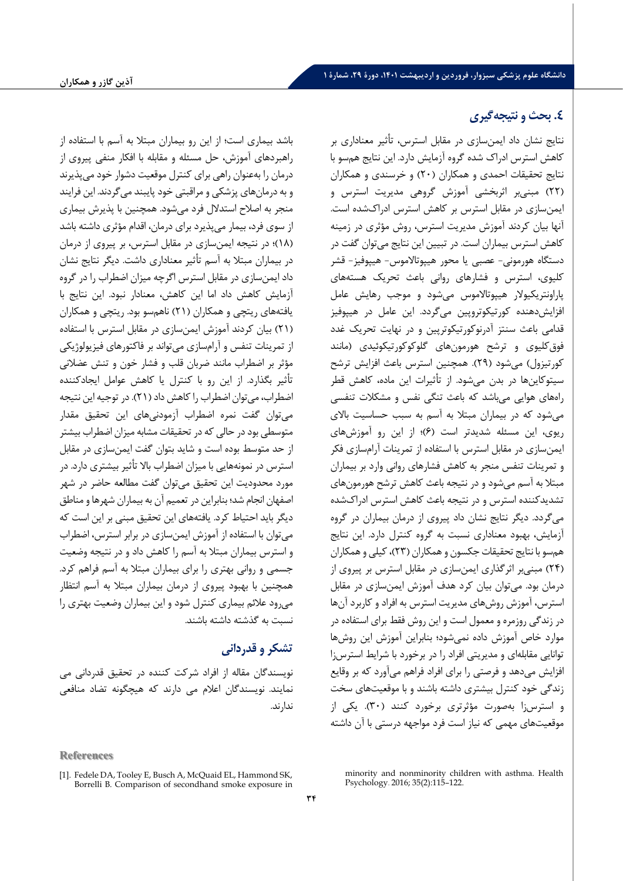# **.4 بحث و نت یجه گیري**

نتایج نشان داد ایمن سازي در مقابل استرس، تأ ثیر معناداري بر کاهش استرس ادراك شده گروه آزمایش دارد. این نتایج هم سو با نتایج تحقیقات احمدي و همکاران (۲۰) و خرسندي و همکاران ( 22) مبنی بر اثربخشی آموزش گروهی مدیریت استرس و ایمن سازي در مقابل استرس بر کاهش اس ترس ادراك شده است . آنها بیان کردند آموزش مدیریت استرس ، روش مؤ ثري در زمینه کاهش استرس بیماران است . در تبیین این نتایج می توان گفت در دستگاه هورمونی - عصبی یا محور هیپوتالاموس - هیپوفیز - قشر کلیوي، استرس و فشارهاي روانی باعث تحریک هسته هاي پاراونتریکیولار هیپوتالاموس می ش ود و موجب رهایش عامل افزایش دهنده کورتیکوتروپین میگردد. این عامل در هیپوفیز قدامی باعث سنتز آدرنوکورتیکوتریین و در نهایت تحریک غدد فوق کلیوي و ترشح هورمون هاي گلوکوکورتیکوئیدي (مانند کورتیزول) می شود ( 29). همچنین استرس باعث افزایش ترشح سیتوکاینها در بدن می شود. از تأثیرات این ماده، کاهش قطر راه هاي هوایی می باشد که باعث تنگی نفس و مشکلات تنفسی می شود که در بیماران مبتلا به آسم به سبب حساسیت بالاي ریوي، این مسئله شدیدتر است (۶)؛ از این رو آموزش های ایمن سازی در مقابل استرس با استفاده از تمرینات آرامسازی فکر و تمرینات تنفس منجر به کاهش فشارهاي روانی وارد بر بیماران مبتلا به آسم می شود و در نتیجه باعث کاهش ترشح هورمون های تشدید کننده استرس و در نتیجه باعث کاهش استرس ادراك شده می گردد. دیگر نتایج نشان داد پیروی از درمان بیماران در گروه آزمایش ، بهبود معناداري نسبت به گروه کنترل دارد . این نتایج هم سو با نتایج تحقیقات جکسون و همکاران ( 23)، کیلی و همکاران ( 24) مبنی بر اثرگذاري ایمن سازي در مقابل استرس بر پیروي از درمان بود. می توان بیان کرد هدف آموزش ایمن سازي در مقابل استرس ، آموزش روش هاي مدیریت استرس به افراد و کاربرد آن ها در زندگی روزمره و معمول است و این روش فقط براي استفاده در موارد خاص آموزش داده نمی شود؛ بنابراین آموزش این روش ها توانایی مقابله اي و مدیریتی افراد را در برخورد با شرایط استرس زا افزایش می دهد و فرصتی را برای افراد فراهم می آورد که بر وقایع زندگی خود کنترل بیشتري داشته باشند و با موقعیت هاي سخت و استرس زا به صورت مؤ ثرتري برخورد کنند ( 30). یکی از موقعیت هاي مهمی که نیاز است فرد مواجهه درستی با آن داشته

باشد بیماری است؛ از این رو بیماران مبتلا به آسم با استفاده از راهبردهای آموزش، حل مسئله و مقابله با افکار منفی پیروی از درمان را به عنوان راهی براي کنترل موقعیت دشوار خود می پذیرند و به درمان هاي پزشکی و مراقبتی خود پایبند می گردند. این فرایند منجر به اصلاح استدلال فرد میشود. همچنین با پذیرش بیماری از سوی فرد، بیمار می پذیرد برای درمان، اقدام مؤثری داشته باشد ( 18) ؛ در نتیجه ایمن سازي در مقابل استرس ، بر پیروي از درمان در بیماران مبتلا به آسم تأ ثیر معناداري داشت. دیگر نتایج نشان داد ایمن سازي در مقابل استرس ا گرچه میزان اضطراب را در گروه آزمایش کاهش داد اما این کاهش ، معنادار نبود. این نتایج با یافته هاي ریتچی و همکاران ( 21) ناهم سو بود. ریتچی و همکاران ( 21) بیان کردند آموزش ایمن سازي در مقابل استرس با استفاده از تمرینات تنفس و آرامسازي می تواند بر فاکتورهاي فیزیولوژیکی مؤثر بر اضطراب مانند ضربان قلب و فشار خون و تنش عضلانی تأ ثیر بگذارد. از این رو با کنترل یا کاهش عوامل ایجاد کننده اضطراب ، می توان اضطراب را کاهش داد ( 21). در توجیه این نتیجه می توان گفت نمره اضطراب آزمودنی هاي این تحقیق مقدار متوسطی بود در حالی که در تحقیقات مشابه میزان اضطراب بیشتر از حد متوسط بوده است و شاید بتوان گفت ایمن سازي در مقابل استرس در نمونه هایی با میزان اضطراب بالا تأ ثیر بیشتري دارد . در مورد محدودیت این تحقیق می توان گفت مطالعه حاضر در شهر اصفهان انجام شد؛ بنابراین در تعمیم آن به بیماران شهرها و مناطق دیگر باید احتیاط کرد. یافته هاي این تحقیق مبنی بر این است که می توان با استفاده از آموزش ایمن سازي در برابر استرس، اضطراب و استرس بیماران مبتلا به آسم را کاهش داد و در نتیجه وضعیت جسمی و روانی بهتري را براي بیماران مبتلا به آسم فراهم کر د . همچنین با بهبود پیروي از درمان بیماران مبتلا به آسم انتظار می رود علائم بیماري کنترل ش ود و این بیماران وضعیت بهتري را نسبت به گذشته داشته باشند .

# **تشکر و قدردانی**

نویسندگان مقاله از افراد شرکت کننده در تحقیق قدردانی می نمایند. نویسندگان اعلام می دارند که هیچگونه تضاد منافعی ندارند .

**References**

minority and nonminority children with asthma. Health Psychology. 2016; 35(2):115–122.